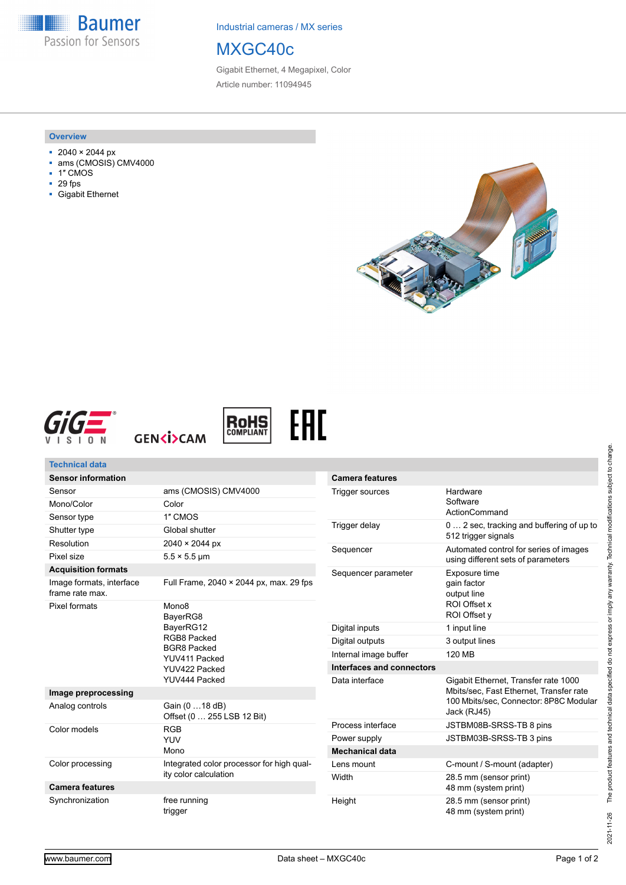**Baumer** Passion for Sensors

Industrial cameras / MX series

## MXGC40c

Gigabit Ethernet, 4 Megapixel, Color Article number: 11094945

#### **Overview**

- 2040 × 2044 px
- ams (CMOSIS) CMV4000
- 1″ CMOS
- 29 fps
- Gigabit Ethernet











| <b>Technical data</b>                       |                                                                                                                                                              |                           |                                                                                 |
|---------------------------------------------|--------------------------------------------------------------------------------------------------------------------------------------------------------------|---------------------------|---------------------------------------------------------------------------------|
| <b>Sensor information</b>                   |                                                                                                                                                              | <b>Camera features</b>    |                                                                                 |
| Sensor                                      | ams (CMOSIS) CMV4000                                                                                                                                         | <b>Trigger sources</b>    | Hardware<br>Software<br>ActionCommand                                           |
| Mono/Color                                  | Color                                                                                                                                                        |                           |                                                                                 |
| Sensor type                                 | 1" CMOS                                                                                                                                                      |                           |                                                                                 |
| Shutter type                                | Global shutter                                                                                                                                               | Trigger delay             | 0  2 sec, tracking and buffering of up to<br>512 trigger signals                |
| Resolution                                  | 2040 × 2044 px<br>$5.5 \times 5.5$ µm                                                                                                                        | Sequencer                 | Automated control for series of images<br>using different sets of parameters    |
| Pixel size                                  |                                                                                                                                                              |                           |                                                                                 |
| <b>Acquisition formats</b>                  |                                                                                                                                                              | Sequencer parameter       | Exposure time                                                                   |
| Image formats, interface<br>frame rate max. | Full Frame, 2040 × 2044 px, max. 29 fps<br>Mono <sub>8</sub><br>BayerRG8<br>BayerRG12<br>RGB8 Packed<br><b>BGR8 Packed</b><br>YUV411 Packed<br>YUV422 Packed |                           | gain factor<br>output line                                                      |
| Pixel formats                               |                                                                                                                                                              |                           | ROI Offset x<br>ROI Offset y                                                    |
|                                             |                                                                                                                                                              | Digital inputs            | 1 input line                                                                    |
|                                             |                                                                                                                                                              | Digital outputs           | 3 output lines                                                                  |
|                                             |                                                                                                                                                              | Internal image buffer     | 120 MB                                                                          |
|                                             |                                                                                                                                                              | Interfaces and connectors |                                                                                 |
| Image preprocessing                         | YUV444 Packed                                                                                                                                                | Data interface            | Gigabit Ethernet, Transfer rate 1000<br>Mbits/sec, Fast Ethernet, Transfer rate |
| Analog controls                             | Gain (0  18 dB)<br>Offset (0  255 LSB 12 Bit)                                                                                                                |                           | 100 Mbits/sec. Connector: 8P8C Modular<br>Jack (RJ45)                           |
| Color models                                | <b>RGB</b><br><b>YUV</b><br>Mono                                                                                                                             | Process interface         | JSTBM08B-SRSS-TB 8 pins                                                         |
|                                             |                                                                                                                                                              | Power supply              | JSTBM03B-SRSS-TB 3 pins                                                         |
|                                             |                                                                                                                                                              | <b>Mechanical data</b>    |                                                                                 |
| Color processing                            | Integrated color processor for high qual-                                                                                                                    | Lens mount                | C-mount / S-mount (adapter)                                                     |
| <b>Camera features</b>                      | ity color calculation                                                                                                                                        | Width                     | 28.5 mm (sensor print)<br>48 mm (system print)                                  |
| Synchronization                             | free running<br>trigger                                                                                                                                      | Height                    | 28.5 mm (sensor print)<br>48 mm (system print)                                  |